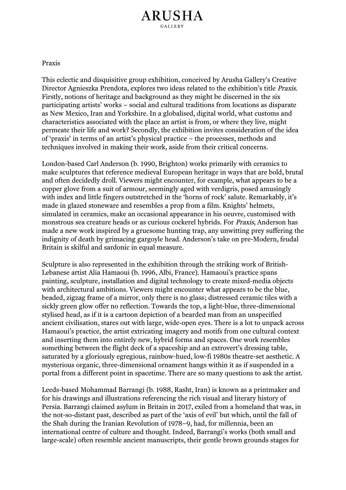## **ARUSHA** GALLERY

## Praxis

This eclectic and disquisitive group exhibition, conceived by Arusha Gallery's Creative Director Agnieszka Prendota, explores two ideas related to the exhibition's title Praxis. Firstly, notions of heritage and background as they might be discerned in the six participating artists' works – social and cultural traditions from locations as disparate as New Mexico, Iran and Yorkshire. In a globalised, digital world, what customs and characteristics associated with the place an artist is from, or where they live, might permeate their life and work? Secondly, the exhibition invites consideration of the idea of 'praxis' in terms of an artist's physical practice – the processes, methods and techniques involved in making their work, aside from their critical concerns.

London-based Carl Anderson (b. 1990, Brighton) works primarily with ceramics to make sculptures that reference medieval European heritage in ways that are bold, brutal and often decidedly droll. Viewers might encounter, for example, what appears to be a copper glove from a suit of armour, seemingly aged with verdigris, posed amusingly with index and little fingers outstretched in the 'horns of rock' salute. Remarkably, it's made in glazed stoneware and resembles a prop from a film. Knights' helmets, simulated in ceramics, make an occasional appearance in his oeuvre, customised with monstrous sea creature heads or as curious cockerel hybrids. For Praxis, Anderson has made a new work inspired by a gruesome hunting trap, any unwitting prey suffering the indignity of death by grimacing gargoyle head. Anderson's take on pre-Modern, feudal Britain is skilful and sardonic in equal measure.

Sculpture is also represented in the exhibition through the striking work of British-Lebanese artist Alia Hamaoui (b. 1996, Albi, France). Hamaoui's practice spans painting, sculpture, installation and digital technology to create mixed-media objects with architectural ambitions. Viewers might encounter what appears to be the blue, beaded, zigzag frame of a mirror, only there is no glass; distressed ceramic tiles with a sickly green glow offer no reflection. Towards the top, a light-blue, three-dimensional stylised head, as if it is a cartoon depiction of a bearded man from an unspecified ancient civilisation, stares out with large, wide-open eyes. There is a lot to unpack across Hamaoui's practice, the artist extricating imagery and motifs from one cultural context and inserting them into entirely new, hybrid forms and spaces. One work resembles something between the flight deck of a spaceship and an extrovert's dressing table, saturated by a gloriously egregious, rainbow-hued, low-fi 1980s theatre-set aesthetic. A mysterious organic, three-dimensional ornament hangs within it as if suspended in a portal from a different point in spacetime. There are so many questions to ask the artist.

Leeds-based Mohammad Barrangi (b. 1988, Rasht, Iran) is known as a printmaker and for his drawings and illustrations referencing the rich visual and literary history of Persia. Barrangi claimed asylum in Britain in 2017, exiled from a homeland that was, in the not-so-distant past, described as part of the 'axis of evil' but which, until the fall of the Shah during the Iranian Revolution of 1978–9, had, for millennia, been an international centre of culture and thought. Indeed, Barrangi's works (both small and large-scale) often resemble ancient manuscripts, their gentle brown grounds stages for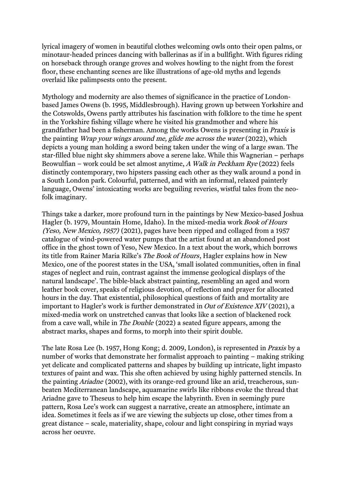lyrical imagery of women in beautiful clothes welcoming owls onto their open palms, or minotaur-headed princes dancing with ballerinas as if in a bullfight. With figures riding on horseback through orange groves and wolves howling to the night from the forest floor, these enchanting scenes are like illustrations of age-old myths and legends overlaid like palimpsests onto the present.

Mythology and modernity are also themes of significance in the practice of Londonbased James Owens (b. 1995, Middlesbrough). Having grown up between Yorkshire and the Cotswolds, Owens partly attributes his fascination with folklore to the time he spent in the Yorkshire fishing village where he visited his grandmother and where his grandfather had been a fisherman. Among the works Owens is presenting in Praxis is the painting Wrap your wings around me, glide me across the water (2022), which depicts a young man holding a sword being taken under the wing of a large swan. The star-filled blue night sky shimmers above a serene lake. While this Wagnerian – perhaps Beowulfian – work could be set almost anytime, A Walk in Peckham Rye (2022) feels distinctly contemporary, two hipsters passing each other as they walk around a pond in a South London park. Colourful, patterned, and with an informal, relaxed painterly language, Owens' intoxicating works are beguiling reveries, wistful tales from the neofolk imaginary.

Things take a darker, more profound turn in the paintings by New Mexico-based Joshua Hagler (b. 1979, Mountain Home, Idaho). In the mixed-media work Book of Hours (Yeso, New Mexico, 1957) (2021), pages have been ripped and collaged from a 1957 catalogue of wind-powered water pumps that the artist found at an abandoned post office in the ghost town of Yeso, New Mexico. In a text about the work, which borrows its title from Rainer Maria Rilke's The Book of Hours, Hagler explains how in New Mexico, one of the poorest states in the USA, 'small isolated communities, often in final stages of neglect and ruin, contrast against the immense geological displays of the natural landscape'. The bible-black abstract painting, resembling an aged and worn leather book cover, speaks of religious devotion, of reflection and prayer for allocated hours in the day. That existential, philosophical questions of faith and mortality are important to Hagler's work is further demonstrated in Out of Existence XIV (2021), a mixed-media work on unstretched canvas that looks like a section of blackened rock from a cave wall, while in The Double (2022) a seated figure appears, among the abstract marks, shapes and forms, to morph into their spirit double.

The late Rosa Lee (b. 1957, Hong Kong; d. 2009, London), is represented in Praxis by a number of works that demonstrate her formalist approach to painting – making striking yet delicate and complicated patterns and shapes by building up intricate, light impasto textures of paint and wax. This she often achieved by using highly patterned stencils. In the painting *Ariadne* (2002), with its orange-red ground like an arid, treacherous, sunbeaten Mediterranean landscape, aquamarine swirls like ribbons evoke the thread that Ariadne gave to Theseus to help him escape the labyrinth. Even in seemingly pure pattern, Rosa Lee's work can suggest a narrative, create an atmosphere, intimate an idea. Sometimes it feels as if we are viewing the subjects up close, other times from a great distance – scale, materiality, shape, colour and light conspiring in myriad ways across her oeuvre.